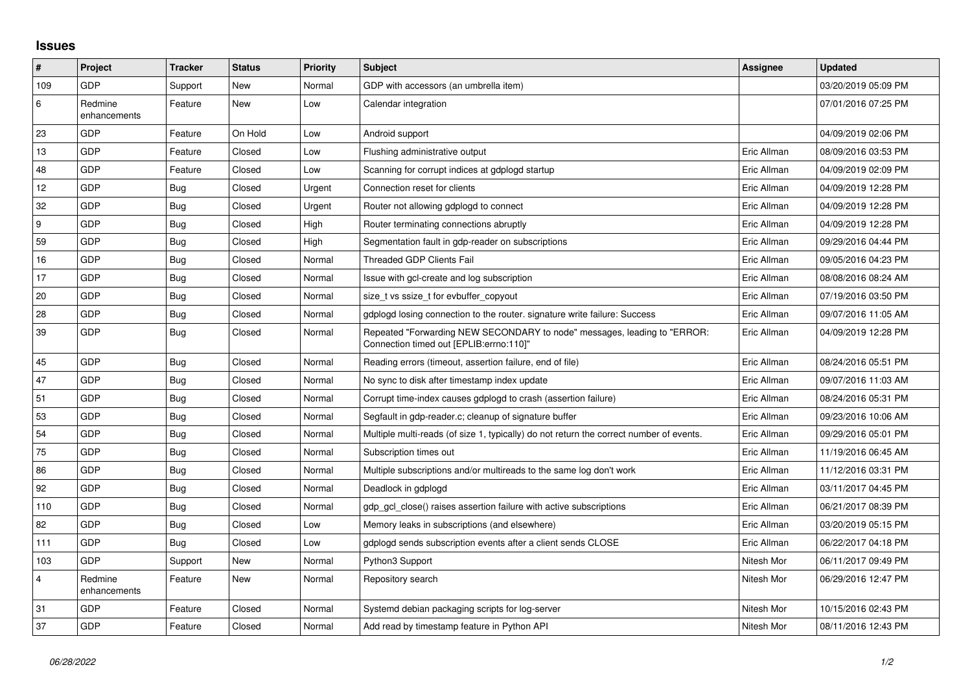## **Issues**

| ∦   | Project                 | <b>Tracker</b> | <b>Status</b> | <b>Priority</b> | <b>Subject</b>                                                                                                      | Assignee    | Updated             |
|-----|-------------------------|----------------|---------------|-----------------|---------------------------------------------------------------------------------------------------------------------|-------------|---------------------|
| 109 | GDP                     | Support        | New           | Normal          | GDP with accessors (an umbrella item)                                                                               |             | 03/20/2019 05:09 PM |
| 6   | Redmine<br>enhancements | Feature        | <b>New</b>    | Low             | Calendar integration                                                                                                |             | 07/01/2016 07:25 PM |
| 23  | GDP                     | Feature        | On Hold       | Low             | Android support                                                                                                     |             | 04/09/2019 02:06 PM |
| 13  | GDP                     | Feature        | Closed        | Low             | Flushing administrative output                                                                                      | Eric Allman | 08/09/2016 03:53 PM |
| 48  | GDP                     | Feature        | Closed        | Low             | Scanning for corrupt indices at gdplogd startup                                                                     | Eric Allman | 04/09/2019 02:09 PM |
| 12  | GDP                     | Bug            | Closed        | Urgent          | Connection reset for clients                                                                                        | Eric Allman | 04/09/2019 12:28 PM |
| 32  | GDP                     | Bug            | Closed        | Urgent          | Router not allowing gdplogd to connect                                                                              | Eric Allman | 04/09/2019 12:28 PM |
| 9   | GDP                     | <b>Bug</b>     | Closed        | High            | Router terminating connections abruptly                                                                             | Eric Allman | 04/09/2019 12:28 PM |
| 59  | GDP                     | Bug            | Closed        | High            | Segmentation fault in gdp-reader on subscriptions                                                                   | Eric Allman | 09/29/2016 04:44 PM |
| 16  | GDP                     | Bug            | Closed        | Normal          | <b>Threaded GDP Clients Fail</b>                                                                                    | Eric Allman | 09/05/2016 04:23 PM |
| 17  | GDP                     | Bug            | Closed        | Normal          | Issue with gcl-create and log subscription                                                                          | Eric Allman | 08/08/2016 08:24 AM |
| 20  | GDP                     | Bug            | Closed        | Normal          | size t vs ssize t for evbuffer copyout                                                                              | Eric Allman | 07/19/2016 03:50 PM |
| 28  | GDP                     | Bug            | Closed        | Normal          | gdplogd losing connection to the router, signature write failure: Success                                           | Eric Allman | 09/07/2016 11:05 AM |
| 39  | GDP                     | <b>Bug</b>     | Closed        | Normal          | Repeated "Forwarding NEW SECONDARY to node" messages, leading to "ERROR:<br>Connection timed out [EPLIB:errno:110]" | Eric Allman | 04/09/2019 12:28 PM |
| 45  | GDP                     | Bug            | Closed        | Normal          | Reading errors (timeout, assertion failure, end of file)                                                            | Eric Allman | 08/24/2016 05:51 PM |
| 47  | GDP                     | Bug            | Closed        | Normal          | No sync to disk after timestamp index update                                                                        | Eric Allman | 09/07/2016 11:03 AM |
| 51  | GDP                     | Bug            | Closed        | Normal          | Corrupt time-index causes gdplogd to crash (assertion failure)                                                      | Eric Allman | 08/24/2016 05:31 PM |
| 53  | GDP                     | Bug            | Closed        | Normal          | Segfault in gdp-reader.c; cleanup of signature buffer                                                               | Eric Allman | 09/23/2016 10:06 AM |
| 54  | GDP                     | Bug            | Closed        | Normal          | Multiple multi-reads (of size 1, typically) do not return the correct number of events.                             | Eric Allman | 09/29/2016 05:01 PM |
| 75  | GDP                     | Bug            | Closed        | Normal          | Subscription times out                                                                                              | Eric Allman | 11/19/2016 06:45 AM |
| 86  | GDP                     | Bug            | Closed        | Normal          | Multiple subscriptions and/or multireads to the same log don't work                                                 | Eric Allman | 11/12/2016 03:31 PM |
| 92  | GDP                     | Bug            | Closed        | Normal          | Deadlock in gdplogd                                                                                                 | Eric Allman | 03/11/2017 04:45 PM |
| 110 | GDP                     | Bug            | Closed        | Normal          | gdp_gcl_close() raises assertion failure with active subscriptions                                                  | Eric Allman | 06/21/2017 08:39 PM |
| 82  | GDP                     | Bug            | Closed        | Low             | Memory leaks in subscriptions (and elsewhere)                                                                       | Eric Allman | 03/20/2019 05:15 PM |
| 111 | GDP                     | <b>Bug</b>     | Closed        | Low             | gdplogd sends subscription events after a client sends CLOSE                                                        | Eric Allman | 06/22/2017 04:18 PM |
| 103 | GDP                     | Support        | New           | Normal          | Python3 Support                                                                                                     | Nitesh Mor  | 06/11/2017 09:49 PM |
| 4   | Redmine<br>enhancements | Feature        | New           | Normal          | Repository search                                                                                                   | Nitesh Mor  | 06/29/2016 12:47 PM |
| 31  | GDP                     | Feature        | Closed        | Normal          | Systemd debian packaging scripts for log-server                                                                     | Nitesh Mor  | 10/15/2016 02:43 PM |
| 37  | GDP                     | Feature        | Closed        | Normal          | Add read by timestamp feature in Python API                                                                         | Nitesh Mor  | 08/11/2016 12:43 PM |